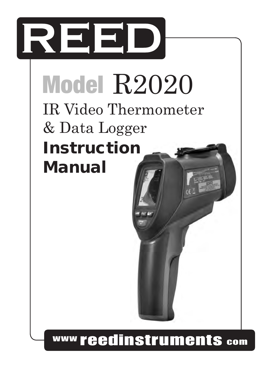

# Model R2020 *Pantone 534 Blue - 100/80/30/5*

*Black Rich Black -* 

| **IR Video Thermometer**  $\alpha$  Data Logger Instruction Manual

www reedinstruments com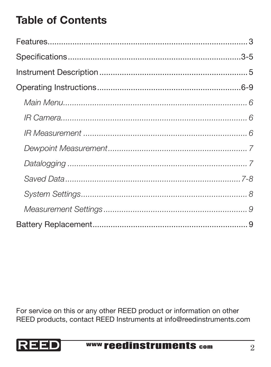# Table of Contents

*Pantone 485 Red Pantone 123 Yellow Yellow - 0/27/100/0* REED products, contact REED Instruments at info@reedinstruments.comFor service on this or any other REED product or information on other

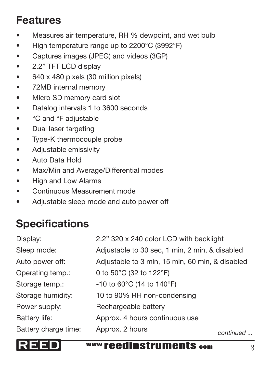## Features

- Measures air temperature, RH % dewpoint, and wet bulb
- High temperature range up to 2200°C (3992°F)
- • Captures images (JPEG) and videos (3GP)
- 2.2" TFT LCD display
- • 640 x 480 pixels (30 million pixels)
- • 72MB internal memory
- Micro SD memory card slot
- • Datalog intervals 1 to 3600 seconds
- °C and °F adiustable
- • Dual laser targeting
- • Type-K thermocouple probe
- • Adjustable emissivity
- • Auto Data Hold
- • Max/Min and Average/Differential modes
- High and Low Alarms
- • Continuous Measurement mode
- • Adjustable sleep mode and auto power off

# **Specifications**

| Display:             | 2.2" 320 x 240 color LCD with backlight           |           |
|----------------------|---------------------------------------------------|-----------|
| Sleep mode:          | Adjustable to 30 sec, 1 min, 2 min, & disabled    |           |
| Auto power off:      | Adjustable to 3 min, 15 min, 60 min, & disabled   |           |
| Operating temp.:     | 0 to 50°C (32 to 122°F)                           |           |
| Storage temp.:       | $-10$ to 60 $^{\circ}$ C (14 to 140 $^{\circ}$ F) |           |
| Storage humidity:    | 10 to 90% RH non-condensing                       |           |
| Power supply:        | Rechargeable battery                              |           |
| Battery life:        | Approx. 4 hours continuous use                    |           |
| Battery charge time: | Approx. 2 hours                                   | continued |



**Black Rich Black Figure -** *Rich Black v* **and** *Rich Black - 3*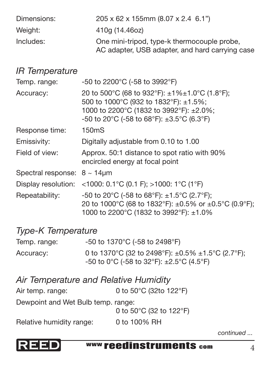| Dimensions: | 205 x 62 x 155mm (8.07 x 2.4 6.1")              |
|-------------|-------------------------------------------------|
| Weight:     | 410a (14.46oz)                                  |
| Includes:   | One mini-tripod, type-k thermocouple probe,     |
|             | AC adapter, USB adapter, and hard carrying case |

#### *IR Temperature*

| Temp. range:                         | -50 to 2200°C (-58 to 3992°F)                                                                                                                                                        |
|--------------------------------------|--------------------------------------------------------------------------------------------------------------------------------------------------------------------------------------|
| Accuracy:                            | 20 to 500°C (68 to 932°F): ±1%±1.0°C (1.8°F);<br>500 to 1000°C (932 to 1832°F): ±1.5%;<br>1000 to 2200°C (1832 to 3992°F): ±2.0%;<br>-50 to 20°C (-58 to 68°F): $\pm 3.5$ °C (6.3°F) |
| Response time:                       | 150mS                                                                                                                                                                                |
| Emissivity:                          | Digitally adjustable from 0.10 to 1.00                                                                                                                                               |
| Field of view:                       | Approx. 50:1 distance to spot ratio with 90%<br>encircled energy at focal point                                                                                                      |
| Spectral response: $8 \sim 14 \mu m$ |                                                                                                                                                                                      |
|                                      | Display resolution: <1000: $0.1^{\circ}$ C (0.1 F); >1000: 1°C (1°F)                                                                                                                 |
| Repeatability:                       | -50 to 20°C (-58 to 68°F): $\pm$ 1.5°C (2.7°F);<br>20 to 1000°C (68 to 1832°F): $\pm 0.5\%$ or $\pm 0.5\degree$ C (0.9°F);<br>1000 to 2200°C (1832 to 3992°F): ±1.0%                 |

#### *Type-K Temperature*

| Temp. range: | -50 to 1370°C (-58 to 2498°F)                                                                                              |
|--------------|----------------------------------------------------------------------------------------------------------------------------|
| Accuracy:    | 0 to 1370°C (32 to 2498°F): $\pm 0.5\% \pm 1.5\degree$ C (2.7°F);<br>-50 to 0°C (-58 to 32°F): $\pm 2.5^{\circ}$ C (4.5°F) |

| Air Temperature and Relative Humidity |                        |
|---------------------------------------|------------------------|
| Air temp. range:                      | 0 to 50°C (32to 122°F) |
|                                       |                        |

Dewpoint and Wet Bulb temp. range:

*Red - 10/100/100/5* 0 to 50°C (32 to 122°F)

Relative humidity range: 0 to 100% RH 0 to 100% RH

*continued ...*



**Black Rich Black Figure -** *Alexander Mww.reedinstruments* com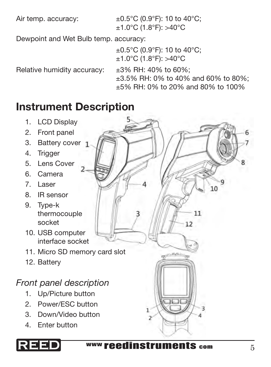Air temp. accuracy:  $\pm 0.5^{\circ}$ C (0.9°F): 10 to 40°C; ±1.0°C (1.8°F): >40°C

Dewpoint and Wet Bulb temp. accuracy:

±0.5°C (0.9°F): 10 to 40°C; ±1.0°C (1.8°F): >40°C

Relative humidity accuracy:  $\pm 3\%$  RH: 40% to 60%;

±3.5% RH: 0% to 40% and 60% to 80%; ±5% RH: 0% to 20% and 80% to 100%

## Instrument Description

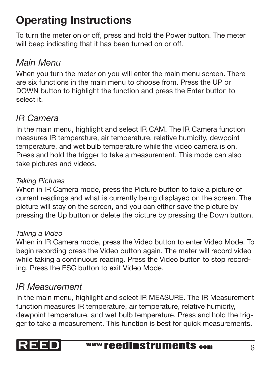# Operating Instructions

To turn the meter on or off, press and hold the Power button. The meter will beep indicating that it has been turned on or off.

## *Main Menu*

When you turn the meter on you will enter the main menu screen. There are six functions in the main menu to choose from. Press the UP or DOWN button to highlight the function and press the Enter button to select it.

## *IR Camera*

In the main menu, highlight and select IR CAM. The IR Camera function measures IR temperature, air temperature, relative humidity, dewpoint temperature, and wet bulb temperature while the video camera is on. Press and hold the trigger to take a measurement. This mode can also take pictures and videos.

#### *Taking Pictures*

When in IR Camera mode, press the Picture button to take a picture of current readings and what is currently being displayed on the screen. The picture will stay on the screen, and you can either save the picture by pressing the Up button or delete the picture by pressing the Down button.

#### *Taking a Video*

When in IR Camera mode, press the Video button to enter Video Mode. To begin recording press the Video button again. The meter will record video while taking a continuous reading. Press the Video button to stop recording. Press the ESC button to exit Video Mode.

## *IR Measurement*

In the main menu, highlight and select IR MEASURE. The IR Measurement function measures IR temperature, air temperature, relative humidity, dewpoint temperature, and wet bulb temperature. Press and hold the trigger to take a measurement. This function is best for quick measurements.

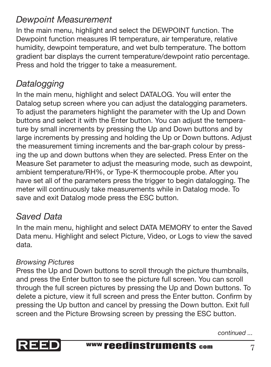### *Dewpoint Measurement*

In the main menu, highlight and select the DEWPOINT function. The Dewpoint function measures IR temperature, air temperature, relative humidity, dewpoint temperature, and wet bulb temperature. The bottom gradient bar displays the current temperature/dewpoint ratio percentage. Press and hold the trigger to take a measurement.

## *Datalogging*

In the main menu, highlight and select DATALOG. You will enter the Datalog setup screen where you can adjust the datalogging parameters. To adjust the parameters highlight the parameter with the Up and Down buttons and select it with the Enter button. You can adjust the temperature by small increments by pressing the Up and Down buttons and by large increments by pressing and holding the Up or Down buttons. Adjust the measurement timing increments and the bar-graph colour by pressing the up and down buttons when they are selected. Press Enter on the Measure Set parameter to adjust the measuring mode, such as dewpoint, ambient temperature/RH%, or Type-K thermocouple probe. After you have set all of the parameters press the trigger to begin datalogging. The meter will continuously take measurements while in Datalog mode. To save and exit Datalog mode press the ESC button.

### *Saved Data*

In the main menu, highlight and select DATA MEMORY to enter the Saved Data menu. Highlight and select Picture, Video, or Logs to view the saved data.

#### *Browsing Pictures*

delete a picture, view it full screen and press the Enter button. Confirm by pressing the Up button and cancel by pressing the Down button. Exit full screen and the Picture Browsing screen by pressing the ESC button. Press the Up and Down buttons to scroll through the picture thumbnails, and press the Enter button to see the picture full screen. You can scroll through the full screen pictures by pressing the Up and Down buttons. To



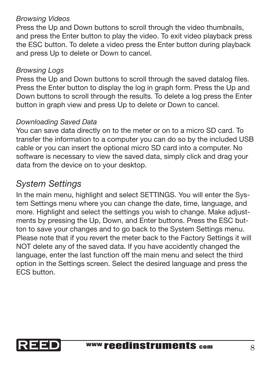#### *Browsing Videos*

Press the Up and Down buttons to scroll through the video thumbnails, and press the Enter button to play the video. To exit video playback press the ESC button. To delete a video press the Enter button during playback and press Up to delete or Down to cancel.

#### *Browsing Logs*

Press the Up and Down buttons to scroll through the saved datalog files. Press the Enter button to display the log in graph form. Press the Up and Down buttons to scroll through the results. To delete a log press the Enter button in graph view and press Up to delete or Down to cancel.

#### *Downloading Saved Data*

You can save data directly on to the meter or on to a micro SD card. To transfer the information to a computer you can do so by the included USB cable or you can insert the optional micro SD card into a computer. No software is necessary to view the saved data, simply click and drag your data from the device on to your desktop.

### *System Settings*

In the main menu, highlight and select SETTINGS. You will enter the System Settings menu where you can change the date, time, language, and more. Highlight and select the settings you wish to change. Make adjustments by pressing the Up, Down, and Enter buttons. Press the ESC button to save your changes and to go back to the System Settings menu. Please note that if you revert the meter back to the Factory Settings it will NOT delete any of the saved data. If you have accidently changed the language, enter the last function off the main menu and select the third option in the Settings screen. Select the desired language and press the ECS button.

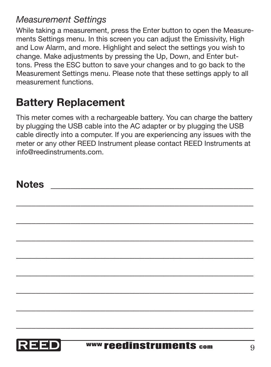### *Measurement Settings*

While taking a measurement, press the Enter button to open the Measurements Settings menu. In this screen you can adjust the Emissivity, High and Low Alarm, and more. Highlight and select the settings you wish to change. Make adjustments by pressing the Up, Down, and Enter buttons. Press the ESC button to save your changes and to go back to the Measurement Settings menu. Please note that these settings apply to all measurement functions.

## Battery Replacement

This meter comes with a rechargeable battery. You can charge the battery by plugging the USB cable into the AC adapter or by plugging the USB cable directly into a computer. If you are experiencing any issues with the meter or any other REED Instrument please contact REED Instruments at info@reedinstruments.com.

\_\_\_\_\_\_\_\_\_\_\_\_\_\_\_\_\_\_\_\_\_\_\_\_\_\_\_\_\_\_\_\_\_\_\_\_\_\_\_\_\_\_\_\_\_\_\_\_ \_\_\_\_\_\_\_\_\_\_\_\_\_\_\_\_\_\_\_\_\_\_\_\_\_\_\_\_\_\_\_\_\_\_\_\_\_\_\_\_\_\_\_\_\_\_\_\_ \_\_\_\_\_\_\_\_\_\_\_\_\_\_\_\_\_\_\_\_\_\_\_\_\_\_\_\_\_\_\_\_\_\_\_\_\_\_\_\_\_\_\_\_\_\_\_\_ \_\_\_\_\_\_\_\_\_\_\_\_\_\_\_\_\_\_\_\_\_\_\_\_\_\_\_\_\_\_\_\_\_\_\_\_\_\_\_\_\_\_\_\_\_\_\_\_ \_\_\_\_\_\_\_\_\_\_\_\_\_\_\_\_\_\_\_\_\_\_\_\_\_\_\_\_\_\_\_\_\_\_\_\_\_\_\_\_\_\_\_\_\_\_\_\_ \_\_\_\_\_\_\_\_\_\_\_\_\_\_\_\_\_\_\_\_\_\_\_\_\_\_\_\_\_\_\_\_\_\_\_\_\_\_\_\_\_\_\_\_\_\_\_\_ \_\_\_\_\_\_\_\_\_\_\_\_\_\_\_\_\_\_\_\_\_\_\_\_\_\_\_\_\_\_\_\_\_\_\_\_\_\_\_\_\_\_\_\_\_\_\_\_ \_\_\_\_\_\_\_\_\_\_\_\_\_\_\_\_\_\_\_\_\_\_\_\_\_\_\_\_\_\_\_\_\_\_\_\_\_\_\_\_\_\_\_\_\_\_\_\_

## Notes \_\_\_\_\_\_\_\_\_\_\_\_\_\_\_\_\_\_\_\_\_\_\_\_\_\_\_\_\_\_\_\_\_\_\_\_\_\_\_\_\_



*Pantone 534 Blue*

*Blue - 100/80/30/5*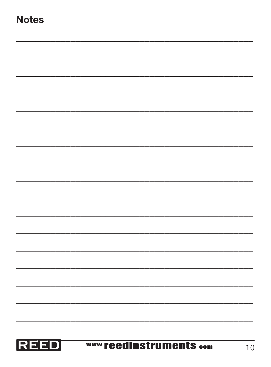|  | ×<br>۰,<br>w<br>۰.<br>w<br>٧<br>× |
|--|-----------------------------------|
|--|-----------------------------------|

| REED | <b>WWW reedinstruments com</b> | 10 |
|------|--------------------------------|----|
|      |                                |    |
|      |                                |    |
|      |                                |    |
|      |                                |    |
|      |                                |    |
|      |                                |    |
|      |                                |    |
|      |                                |    |
|      |                                |    |
|      |                                |    |
|      |                                |    |
|      |                                |    |
|      |                                |    |
|      |                                |    |
|      |                                |    |
|      |                                |    |
|      |                                |    |
|      |                                |    |
|      |                                |    |
|      |                                |    |
|      |                                |    |
|      |                                |    |
|      |                                |    |
|      |                                |    |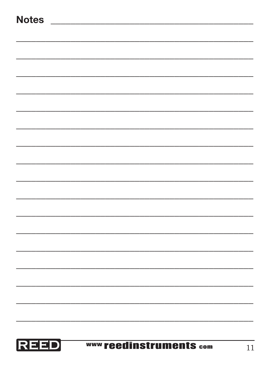|  | ×<br>۰,<br>w<br>۰.<br>w<br>٧<br>× |
|--|-----------------------------------|
|--|-----------------------------------|

| <b>REED</b> | www reedinstruments com | 11 |
|-------------|-------------------------|----|
|             |                         |    |
|             |                         |    |
|             |                         |    |
|             |                         |    |
|             |                         |    |
|             |                         |    |
|             |                         |    |
|             |                         |    |
|             |                         |    |
|             |                         |    |
|             |                         |    |
|             |                         |    |
|             |                         |    |
|             |                         |    |
|             |                         |    |
|             |                         |    |
|             |                         |    |
|             |                         |    |
|             |                         |    |
|             |                         |    |
|             |                         |    |
|             |                         |    |
|             |                         |    |
|             |                         |    |
|             |                         |    |
|             |                         |    |
|             |                         |    |